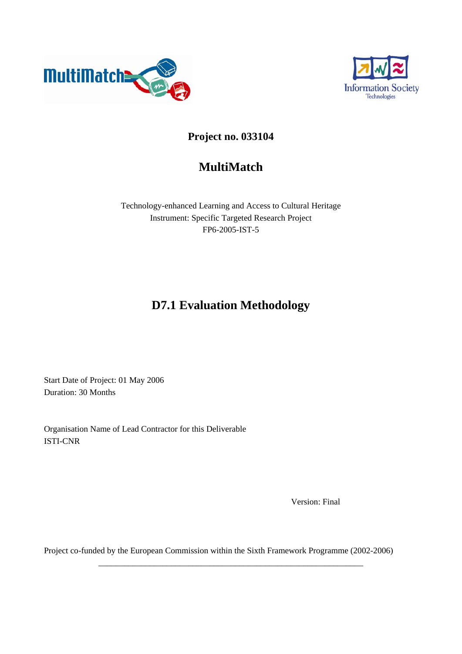



## **Project no. 033104**

## **MultiMatch**

Technology-enhanced Learning and Access to Cultural Heritage Instrument: Specific Targeted Research Project FP6-2005-IST-5

## **D7.1 Evaluation Methodology**

Start Date of Project: 01 May 2006 Duration: 30 Months

Organisation Name of Lead Contractor for this Deliverable ISTI-CNR

Version: Final

Project co-funded by the European Commission within the Sixth Framework Programme (2002-2006)

\_\_\_\_\_\_\_\_\_\_\_\_\_\_\_\_\_\_\_\_\_\_\_\_\_\_\_\_\_\_\_\_\_\_\_\_\_\_\_\_\_\_\_\_\_\_\_\_\_\_\_\_\_\_\_\_\_\_\_\_\_\_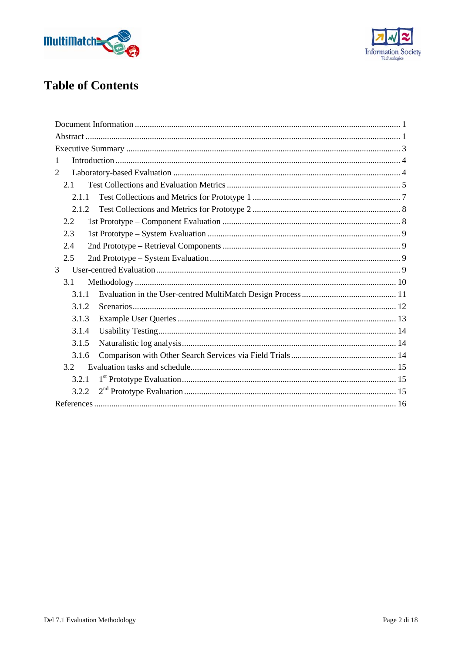



# **Table of Contents**

| 1              |
|----------------|
| 2              |
| 2.1            |
| 2.1.1          |
| 2.1.2          |
| 2.2            |
| 2.3            |
| 2.4            |
| 2.5            |
| $\overline{3}$ |
| 3.1            |
| 3.1.1          |
| 3.1.2          |
| 3.1.3          |
| 3.1.4          |
| 3.1.5          |
| 3.1.6          |
| 3.2            |
| 3.2.1          |
| 3.2.2          |
|                |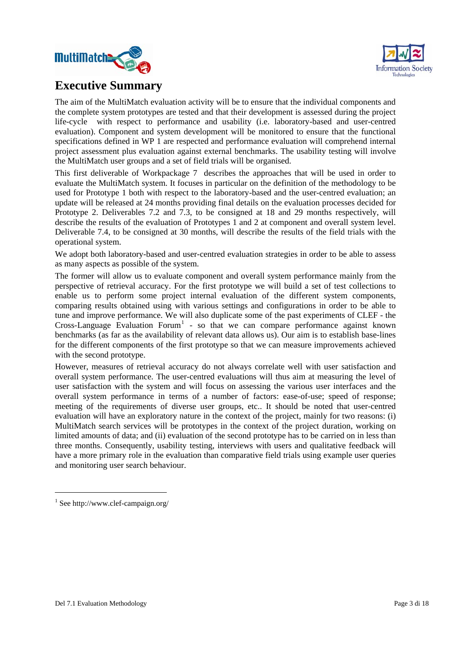<span id="page-2-0"></span>



## **Executive Summary**

The aim of the MultiMatch evaluation activity will be to ensure that the individual components and the complete system prototypes are tested and that their development is assessed during the project life-cycle with respect to performance and usability (i.e. laboratory-based and user-centred evaluation). Component and system development will be monitored to ensure that the functional specifications defined in WP 1 are respected and performance evaluation will comprehend internal project assessment plus evaluation against external benchmarks. The usability testing will involve the MultiMatch user groups and a set of field trials will be organised.

This first deliverable of Workpackage 7 describes the approaches that will be used in order to evaluate the MultiMatch system. It focuses in particular on the definition of the methodology to be used for Prototype 1 both with respect to the laboratory-based and the user-centred evaluation; an update will be released at 24 months providing final details on the evaluation processes decided for Prototype 2. Deliverables 7.2 and 7.3, to be consigned at 18 and 29 months respectively, will describe the results of the evaluation of Prototypes 1 and 2 at component and overall system level. Deliverable 7.4, to be consigned at 30 months, will describe the results of the field trials with the operational system.

We adopt both laboratory-based and user-centred evaluation strategies in order to be able to assess as many aspects as possible of the system.

The former will allow us to evaluate component and overall system performance mainly from the perspective of retrieval accuracy. For the first prototype we will build a set of test collections to enable us to perform some project internal evaluation of the different system components, comparing results obtained using with various settings and configurations in order to be able to tune and improve performance. We will also duplicate some of the past experiments of CLEF - the Cross-Language Evaluation Forum<sup>[1](#page-2-1)</sup> - so that we can compare performance against known benchmarks (as far as the availability of relevant data allows us). Our aim is to establish base-lines for the different components of the first prototype so that we can measure improvements achieved with the second prototype.

However, measures of retrieval accuracy do not always correlate well with user satisfaction and overall system performance. The user-centred evaluations will thus aim at measuring the level of user satisfaction with the system and will focus on assessing the various user interfaces and the overall system performance in terms of a number of factors: ease-of-use; speed of response; meeting of the requirements of diverse user groups, etc.. It should be noted that user-centred evaluation will have an exploratory nature in the context of the project, mainly for two reasons: (i) MultiMatch search services will be prototypes in the context of the project duration, working on limited amounts of data; and (ii) evaluation of the second prototype has to be carried on in less than three months. Consequently, usability testing, interviews with users and qualitative feedback will have a more primary role in the evaluation than comparative field trials using example user queries and monitoring user search behaviour.

-

<span id="page-2-1"></span><sup>1</sup> See http://www.clef-campaign.org/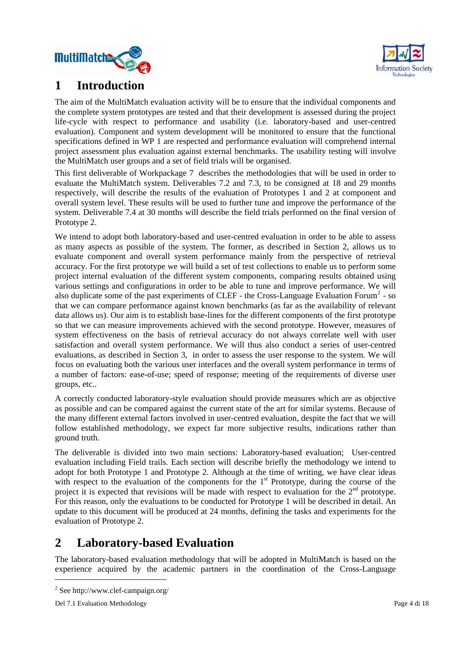<span id="page-3-0"></span>



## **1 Introduction**

The aim of the MultiMatch evaluation activity will be to ensure that the individual components and the complete system prototypes are tested and that their development is assessed during the project life-cycle with respect to performance and usability (i.e. laboratory-based and user-centred evaluation). Component and system development will be monitored to ensure that the functional specifications defined in WP 1 are respected and performance evaluation will comprehend internal project assessment plus evaluation against external benchmarks. The usability testing will involve the MultiMatch user groups and a set of field trials will be organised.

This first deliverable of Workpackage 7 describes the methodologies that will be used in order to evaluate the MultiMatch system. Deliverables 7.2 and 7.3, to be consigned at 18 and 29 months respectively, will describe the results of the evaluation of Prototypes 1 and 2 at component and overall system level. These results will be used to further tune and improve the performance of the system. Deliverable 7.4 at 30 months will describe the field trials performed on the final version of Prototype 2.

We intend to adopt both laboratory-based and user-centred evaluation in order to be able to assess as many aspects as possible of the system. The former, as described in Section 2, allows us to evaluate component and overall system performance mainly from the perspective of retrieval accuracy. For the first prototype we will build a set of test collections to enable us to perform some project internal evaluation of the different system components, comparing results obtained using various settings and configurations in order to be able to tune and improve performance. We will also duplicate some of the past experiments of CLEF - the Cross-Language Evaluation Forum<sup>[2](#page-3-1)</sup> - so that we can compare performance against known benchmarks (as far as the availability of relevant data allows us). Our aim is to establish base-lines for the different components of the first prototype so that we can measure improvements achieved with the second prototype. However, measures of system effectiveness on the basis of retrieval accuracy do not always correlate well with user satisfaction and overall system performance. We will thus also conduct a series of user-centred evaluations, as described in Section 3, in order to assess the user response to the system. We will focus on evaluating both the various user interfaces and the overall system performance in terms of a number of factors: ease-of-use; speed of response; meeting of the requirements of diverse user groups, etc..

A correctly conducted laboratory-style evaluation should provide measures which are as objective as possible and can be compared against the current state of the art for similar systems. Because of the many different external factors involved in user-centred evaluation, despite the fact that we will follow established methodology, we expect far more subjective results, indications rather than ground truth.

The deliverable is divided into two main sections: Laboratory-based evaluation; User-centred evaluation including Field trails. Each section will describe briefly the methodology we intend to adopt for both Prototype 1 and Prototype 2. Although at the time of writing, we have clear ideas with respect to the evaluation of the components for the  $1<sup>st</sup>$  Prototype, during the course of the project it is expected that revisions will be made with respect to evaluation for the  $2<sup>nd</sup>$  prototype. For this reason, only the evaluations to be conducted for Prototype 1 will be described in detail. An update to this document will be produced at 24 months, defining the tasks and experiments for the evaluation of Prototype 2.

## **2 Laboratory-based Evaluation**

The laboratory-based evaluation methodology that will be adopted in MultiMatch is based on the experience acquired by the academic partners in the coordination of the Cross-Language

1

<span id="page-3-1"></span><sup>&</sup>lt;sup>2</sup> See http://www.clef-campaign.org/

Del 7.1 Evaluation Methodology Page 4 di 18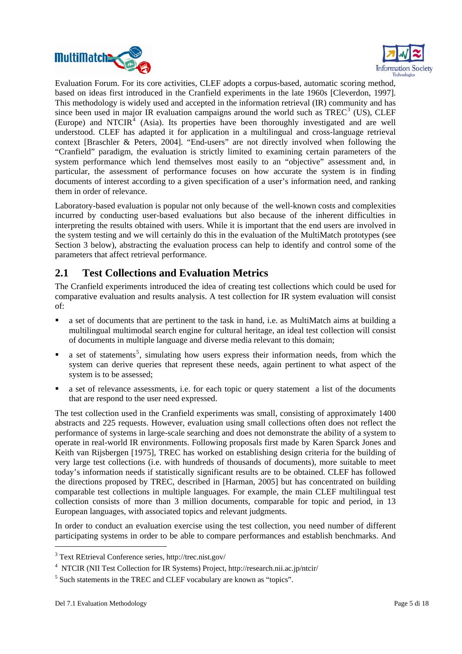<span id="page-4-0"></span>



Evaluation Forum. For its core activities, CLEF adopts a corpus-based, automatic scoring method, based on ideas first introduced in the Cranfield experiments in the late 1960s [Cleverdon, 1997]. This methodology is widely used and accepted in the information retrieval (IR) community and has since been used in major IR evaluation campaigns around the world such as  $TREC^3$  $TREC^3$  (US), CLEF (Europe) and NTCIR $4$  (Asia). Its properties have been thoroughly investigated and are well understood. CLEF has adapted it for application in a multilingual and cross-language retrieval context [Braschler & Peters, 2004]. "End-users" are not directly involved when following the "Cranfield" paradigm, the evaluation is strictly limited to examining certain parameters of the system performance which lend themselves most easily to an "objective" assessment and, in particular, the assessment of performance focuses on how accurate the system is in finding documents of interest according to a given specification of a user's information need, and ranking them in order of relevance.

Laboratory-based evaluation is popular not only because of the well-known costs and complexities incurred by conducting user-based evaluations but also because of the inherent difficulties in interpreting the results obtained with users. While it is important that the end users are involved in the system testing and we will certainly do this in the evaluation of the MultiMatch prototypes (see Section 3 below), abstracting the evaluation process can help to identify and control some of the parameters that affect retrieval performance.

### **2.1 Test Collections and Evaluation Metrics**

The Cranfield experiments introduced the idea of creating test collections which could be used for comparative evaluation and results analysis. A test collection for IR system evaluation will consist of:

- a set of documents that are pertinent to the task in hand, i.e. as MultiMatch aims at building a multilingual multimodal search engine for cultural heritage, an ideal test collection will consist of documents in multiple language and diverse media relevant to this domain;
- $\blacksquare$  a set of statements<sup>[5](#page-4-3)</sup>, simulating how users express their information needs, from which the system can derive queries that represent these needs, again pertinent to what aspect of the system is to be assessed;
- a set of relevance assessments, i.e. for each topic or query statement a list of the documents that are respond to the user need expressed.

The test collection used in the Cranfield experiments was small, consisting of approximately 1400 abstracts and 225 requests. However, evaluation using small collections often does not reflect the performance of systems in large-scale searching and does not demonstrate the ability of a system to operate in real-world IR environments. Following proposals first made by Karen Sparck Jones and Keith van Rijsbergen [1975], TREC has worked on establishing design criteria for the building of very large test collections (i.e. with hundreds of thousands of documents), more suitable to meet today's information needs if statistically significant results are to be obtained. CLEF has followed the directions proposed by TREC, described in [Harman, 2005] but has concentrated on building comparable test collections in multiple languages. For example, the main CLEF multilingual test collection consists of more than 3 million documents, comparable for topic and period, in 13 European languages, with associated topics and relevant judgments.

In order to conduct an evaluation exercise using the test collection, you need number of different participating systems in order to be able to compare performances and establish benchmarks. And

-

<span id="page-4-1"></span><sup>3</sup> Text REtrieval Conference series, http://trec.nist.gov/

<span id="page-4-2"></span><sup>4</sup> NTCIR (NII Test Collection for IR Systems) Project, http://research.nii.ac.jp/ntcir/

<span id="page-4-3"></span><sup>&</sup>lt;sup>5</sup> Such statements in the TREC and CLEF vocabulary are known as "topics".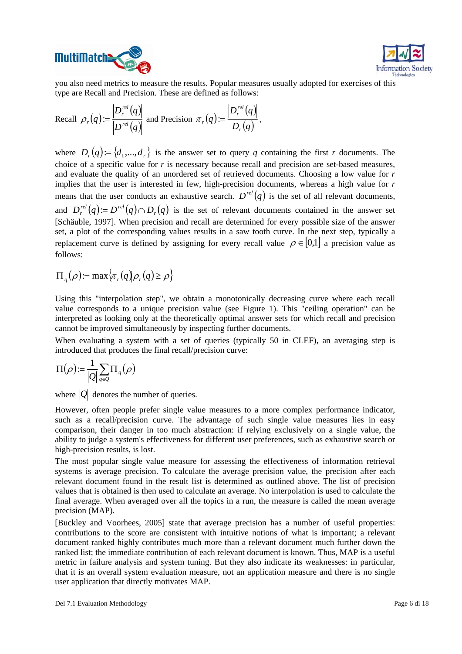



you also need metrics to measure the results. Popular measures usually adopted for exercises of this type are Recall and Precision. These are defined as follows:

Recall 
$$
\rho_r(q) := \frac{|D_r^{rel}(q)|}{|D^{rel}(q)|}
$$
 and Precision  $\pi_r(q) := \frac{|D_r^{rel}(q)|}{|D_r(q)|}$ ,

where  $D_r(q) := \{d_1, ..., d_r\}$  is the answer set to query *q* containing the first *r* documents. The choice of a specific value for *r* is necessary because recall and precision are set-based measures, and evaluate the quality of an unordered set of retrieved documents. Choosing a low value for *r* implies that the user is interested in few, high-precision documents, whereas a high value for *r* means that the user conducts an exhaustive search.  $D^{rel}(q)$  is the set of all relevant documents, and  $D_r^{rel}(q) = D^{rel}(q) \cap D_r(q)$  is the set of relevant documents contained in the answer set [Schäuble, 1997]. When precision and recall are determined for every possible size of the answer set, a plot of the corresponding values results in a saw tooth curve. In the next step, typically a replacement curve is defined by assigning for every recall value  $\rho \in [0,1]$  a precision value as follows:

$$
\Pi_q(\rho) := \max \{ \pi_r(q) | \rho_r(q) \ge \rho \}
$$

Using this "interpolation step", we obtain a monotonically decreasing curve where each recall value corresponds to a unique precision value (see Figure 1). This "ceiling operation" can be interpreted as looking only at the theoretically optimal answer sets for which recall and precision cannot be improved simultaneously by inspecting further documents.

When evaluating a system with a set of queries (typically 50 in CLEF), an averaging step is introduced that produces the final recall/precision curve:

$$
\Pi(\rho)\!\coloneqq\!\frac{1}{|\mathcal{Q}|}\!\sum_{q\in\mathcal{Q}}\!\Pi_{\scriptscriptstyle q}(\rho)
$$

where  $|Q|$  denotes the number of queries.

However, often people prefer single value measures to a more complex performance indicator, such as a recall/precision curve. The advantage of such single value measures lies in easy comparison, their danger in too much abstraction: if relying exclusively on a single value, the ability to judge a system's effectiveness for different user preferences, such as exhaustive search or high-precision results, is lost.

The most popular single value measure for assessing the effectiveness of information retrieval systems is average precision. To calculate the average precision value, the precision after each relevant document found in the result list is determined as outlined above. The list of precision values that is obtained is then used to calculate an average. No interpolation is used to calculate the final average. When averaged over all the topics in a run, the measure is called the mean average precision (MAP).

[Buckley and Voorhees, 2005] state that average precision has a number of useful properties: contributions to the score are consistent with intuitive notions of what is important; a relevant document ranked highly contributes much more than a relevant document much further down the ranked list; the immediate contribution of each relevant document is known. Thus, MAP is a useful metric in failure analysis and system tuning. But they also indicate its weaknesses: in particular, that it is an overall system evaluation measure, not an application measure and there is no single user application that directly motivates MAP.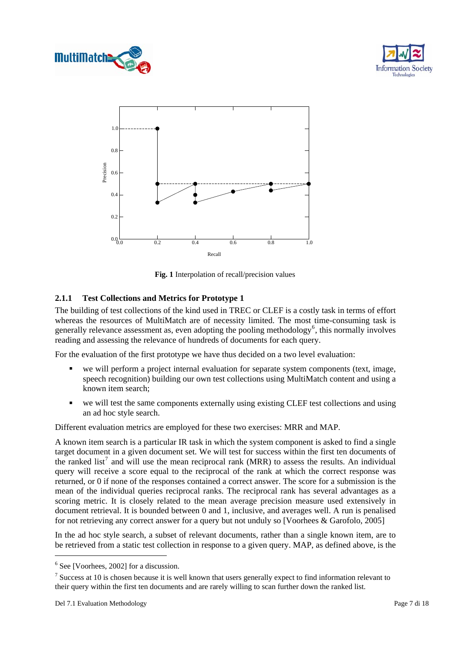

<span id="page-6-0"></span>



**Fig. 1** Interpolation of recall/precision values

#### **.1.1 Test Collections and Metrics for Prototype 1 2**

The building of test collections of the kind used in TREC or CLEF is a costly task in terms of effort whereas the resources of MultiMatch are of necessity limited. The most time-consuming task is generally relevance assessment as, even adopting the pooling methodology<sup>[6](#page-6-1)</sup>, this normally involves reading and assessing the relevance of hundreds of documents for each query.

For the evaluation of the first prototype we have thus decided on a two level evaluation:

- we will perform a project internal evaluation for separate system components (text, image, speech recognition) building our own test collections using MultiMatch content and using a known item search;
- $\blacksquare$  we will test the same components externally using existing CLEF test collections and using an ad hoc style search.

Different evaluation metrics are employed for these two exercises: MRR and MAP.

A known item search is a particular IR task in which the system component is asked to find a single target document in a given document set. We will test for success within the first ten documents of the ranked list<sup>[7](#page-6-2)</sup> and will use the mean reciprocal rank (MRR) to assess the results. An individual query will receive a score equal to the reciprocal of the rank at which the correct response was returned, or 0 if none of the responses contained a correct answer. The score for a submission is the mean of the individual queries reciprocal ranks. The reciprocal rank has several advantages as a scoring metric. It is closely related to the mean average precision measure used extensively in document retrieval. It is bounded between 0 and 1, inclusive, and averages well. A run is penalised for not retrieving any correct answer for a query but not unduly so [Voorhees & Garofolo, 2005]

In the ad hoc style search, a subset of relevant documents, rather than a single known item, are to be retrieved from a static test collection in response to a given query. MAP, as defined above, is the

-

<span id="page-6-1"></span><sup>6</sup> See [Voorhees, 2002] for a discussion.

<span id="page-6-2"></span> $<sup>7</sup>$  Success at 10 is chosen because it is well known that users generally expect to find information relevant to</sup> their query within the first ten documents and are rarely willing to scan further down the ranked list.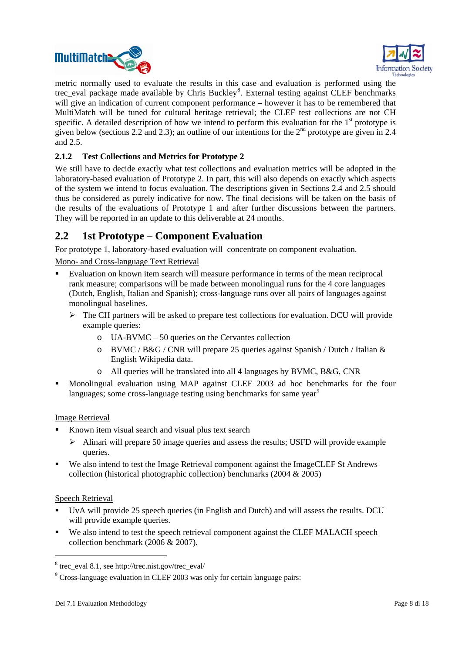<span id="page-7-0"></span>



metric normally used to evaluate the results in this case and evaluation is performed using the trec\_eval package made available by Chris Buckley<sup>[8](#page-7-1)</sup>. External testing against CLEF benchmarks will give an indication of current component performance – however it has to be remembered that MultiMatch will be tuned for cultural heritage retrieval; the CLEF test collections are not CH specific. A detailed description of how we intend to perform this evaluation for the  $1<sup>st</sup>$  prototype is given below (sections 2.2 and 2.3); an outline of our intentions for the  $2^{nd}$  prototype are given in 2.4 and 2.5.

### **2.1.2 Test Collections and Metrics for Prototype 2**

laboratory-based evaluation of Prototype 2. In part, this will also depends on exactly which aspects We still have to decide exactly what test collections and evaluation metrics will be adopted in the of the system we intend to focus evaluation. The descriptions given in Sections 2.4 and 2.5 should thus be considered as purely indicative for now. The final decisions will be taken on the basis of the results of the evaluations of Prototype 1 and after further discussions between the partners. They will be reported in an update to this deliverable at 24 months.

### **2.2 1st Prototype – Component Evaluation**

For prototype 1, laboratory-based evaluation will concentrate on component evaluation.

Mono- and Cross-language Text Retrieval

- Evaluation on known item search will measure performance in terms of the mean reciprocal rank measure; comparisons will be made between monolingual runs for the 4 core languages (Dutch, English, Italian and Spanish); cross-language runs over all pairs of languages against monolingual baselines.
	- $\triangleright$  The CH partners will be asked to prepare test collections for evaluation. DCU will provide example queries:
		- o UA-BVMC 50 queries on the Cervantes collection
		- o BVMC / B&G / CNR will prepare 25 queries against Spanish / Dutch / Italian & English Wikipedia data.
		- o All queries will be translated into all 4 languages by BVMC, B&G, CNR
- Monolingual evaluation using MAP against CLEF 2003 ad hoc benchmarks for the four languages; some cross-language testing using benchmarks for same year<sup>9</sup>

#### Ima ge Retrieval

- Known item visual search and visual plus text search
	- $\triangleright$  Alinari will prepare 50 image queries and assess the results; USFD will provide example queries.
- $\blacksquare$ collection (historical photographic collection) benchmarks (2004 & 2005) We also intend to test the Image Retrieval component against the ImageCLEF St Andrews

#### Speech Retrieval

1

- . will provide e xample queries. UvA will provide 25 speech queries (in English and Dutch) and will assess the results. DCU
- collection benchmark (2006 & 2007). We also intend to test the speech retrieval component against the CLEF MALACH speech

<span id="page-7-1"></span><sup>8</sup> trec\_eval 8.1, see http://trec.nist.gov/trec\_eval/

<sup>&</sup>lt;sup>9</sup> Cross-language evaluation in CLEF 2003 was only for certain language pairs: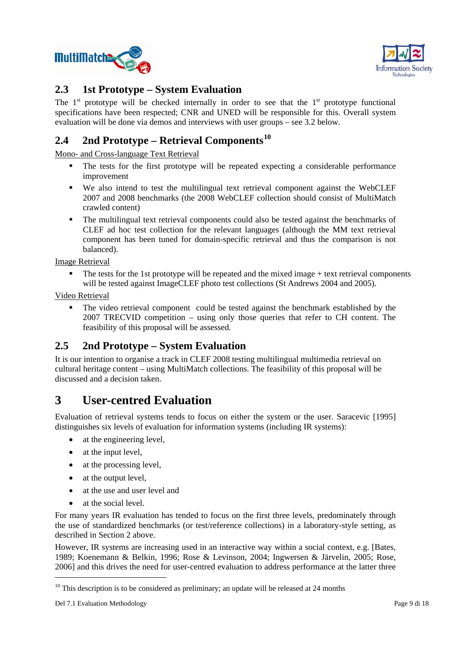<span id="page-8-0"></span>



### **2.3 1st Prototype – System Evaluation**

The  $1<sup>st</sup>$  prototype will be checked internally in order to see that the  $1<sup>st</sup>$  prototype functional specifications have been respected; CNR and UNED will be responsible for this. Overall system evaluation will be done via demos and interviews with user groups – see 3.2 below.

## **2.4 2nd Prototype – Retrieval Components<sup>10</sup>**

Mono- and Cross-language Text Retrieval

- The tests for the first prototype will be repeated expecting a considerable performance improvement
- We also intend to test the multilingual text retrieval component against the WebCLEF 2007 and 2008 benchmarks (the 2008 WebCLEF collection should consist of MultiMatch crawled content)
- The multilingual text retrieval components could also be tested against the benchmarks of CLEF ad hoc test collection for the relevant languages (although the MM text retrieval component has been tuned for domain-specific retrieval and thus the comparison is not balanced).

Image Retrieval

 $\blacksquare$  The tests for the 1st prototype will be repeated and the mixed image  $+$  text retrieval components will be tested against ImageCLEF photo test collections (St Andrews 2004 and 2005).

Video Retrieval

 The video retrieval component could be tested against the benchmark established by the 2007 TRECVID competition – using only those queries that refer to CH content. The feasibility of this proposal will be assessed.

### **2.5 2nd Prototype – System Evaluation**

It is our intention to organise a track in CLEF 2008 testing multilingual multimedia retrieval on cultural heritage content – using MultiMatch collections. The feasibility of this proposal will be discussed and a decision taken.

## **3 User-centred Evaluation**

Evaluation of retrieval systems tends to focus on either the system or the user. Saracevic [1995] distinguishes six levels of evaluation for information systems (including IR systems):

- at the engineering level.
- at the input level.
- at the processing level.
- at the output level,
- at the use and user level and
- at the social level.

For many years IR evaluation has tended to focus on the first three levels, predominately through the use of standardized benchmarks (or test/reference collections) in a laboratory-style setting, as described in Section 2 above.

However, IR systems are increasing used in an interactive way within a social context, e.g. [Bates, 1989; Koenemann & Belkin, 1996; Rose & Levinson, 2004; Ingwersen & Järvelin, 2005; Rose, 2006] and this drives the need for user-centred evaluation to address performance at the latter three

 $\overline{a}$ 

 $10$  This description is to be considered as preliminary; an update will be released at 24 months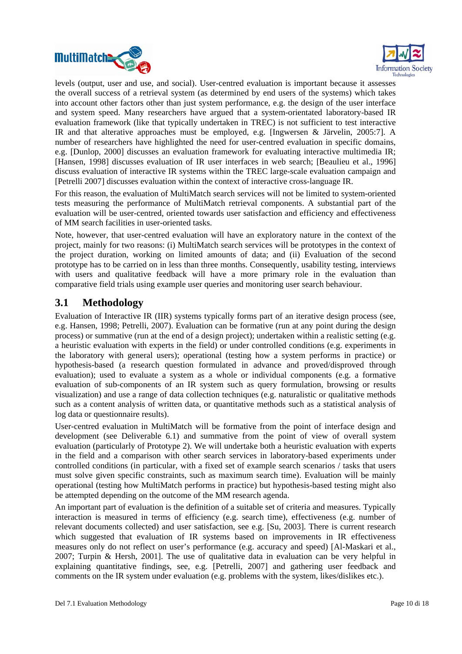<span id="page-9-0"></span>



levels (output, user and use, and social). User-centred evaluation is important because it assesses the overall success of a retrieval system (as determined by end users of the systems) which takes evaluation framework (like that typically undertaken in TREC) is not sufficient to test interactive IR and that alterative approaches must be employed, e.g. [Ingwersen  $&$  Järvelin, 2005:7]. A number of researchers have highlighted the need for user-centred evaluation in specific domains, e.g. [Dunlop, 2000] discusses an evaluation framework for evaluating interactive multimedia IR; [Hansen, 1998] discusses evaluation of IR user interfaces in web search; [Beaulieu et al., 1996] discuss evaluation of interactive IR systems within the TREC large-scale evaluation campaign and [Petrelli 2007] discusses evaluation within the context of interactive cross-language IR. into account other factors other than just system performance, e.g. the design of the user interface and system speed. Many researchers have argued that a system-orientated laboratory-based IR

For this reason, the evaluation of MultiMatch search services will not be limited to system-oriented tests m easuring the performance of MultiMatch retrieval components. A substantial part of the evaluation will be user-centred, oriented towards u ser satisfaction and efficiency and effectiveness of MM search facilities in user-oriented tasks.

Note, h owever, that user-centred evaluation will have an exploratory nature in the context of the project, mainly for two reasons: (i) MultiMatch search services will be prototypes in the context of the project duration, working on limited amounts of data; and (ii) Evaluation of the second prototype has to be carried on in less than three months. Consequently, usability testing, interviews with users and qualitative feedback will have a more primary role in the evaluation than compar ative field trials using example user queries and monitoring user search behaviour.

### **3.1 Methodology**

Evaluat ion of Interactive IR (IIR) systems typically forms part of an iterative design process (see, e.g. Hansen, 1998; Petrelli, 2007). Evaluation can be formative (run at any point during the design process) or summative (run at the end of a design project); undertaken within a realistic setting (e.g. a heuristic evaluation with experts in the field) or under controlled conditions (e.g. experiments in the laboratory with general users); operational (testing how a system performs in practice) or hypothesis-based (a research question formulated in advance and proved/disproved through evaluation); used to evaluate a system as a whole or individual components (e.g. a formative evaluation of sub-components of an IR system such as query formulation, browsing or results visualization) and use a range of data collection techniques (e.g. naturalistic or qualitative methods such as a content analysis of written data, or quantitative methods such as a statistical analysis of log data or questionnaire results).

User-centred evaluation in MultiMatch will be formative from the point of interface design and development (see Deliverable 6.1) and summative from the point of view of overall system evaluation (particularly of Prototype 2). We will undertake both a heuristic evaluation with experts in the field and a comparison with other search services in laboratory-based experiments under controlled conditions (in particular, with a fixed set of example search scenarios / tasks that users must solve given specific constraints, such as maximum search time). Evaluation will be mainly operational (testing how MultiMatch performs in practice) but hypothesis-based testing might also be attempted depending on the outcome of the MM research agenda.

An important part of evaluation is the definition of a suitable set of criteria and measures. Typically which suggested that evaluation of IR systems based on improvements in IR effectiveness comments on the IR system under evaluation (e.g. problems with the system, likes/dislikes etc.). interaction is measured in terms of efficiency (e.g. search time), effectiveness (e.g. number of relevant documents collected) and user satisfaction, see e.g. [Su, 2003]. There is current research measures only do not reflect on user's performance (e.g. accuracy and speed) [Al-Maskari et al., 2007; Turpin & Hersh, 2001]. The use of qualitative data in evaluation can be very helpful in explaining quantitative findings, see, e.g. [Petrelli, 2007] and gathering user feedback and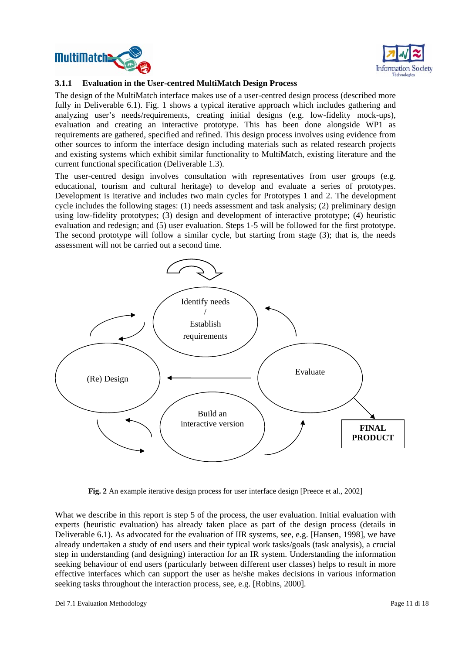<span id="page-10-0"></span>



#### **3.1.1 Evaluation in the User-centred MultiMatch Design Process**

The design of the MultiMatch interface makes use of a user-centred design process (described more fully in Deliverable 6.1). Fig. 1 shows a typical iterative approach which includes gathering and analyzing user's needs/requirements, creating initial designs (e.g. low-fidelity mock-ups), evaluation and creating an interactive prototype. This has been done alongside WP1 as requirements are gathered, specified and refined. This design process involves using evidence from other sources to inform the interface design including materials such as related research projects and existing systems which exhibit similar functionality to MultiMatch, existing literature and the current functional specification (Deliverable 1.3).

evaluation and redesign; and (5) user evaluation. Steps 1-5 will be followed for the first prototype. The user-centred design involves consultation with representatives from user groups (e.g. educational, tourism and cultural heritage) to develop and evaluate a series of prototypes. Development is iterative and includes two main cycles for Prototypes 1 and 2. The development cycle includes the following stages: (1) needs assessment and task analysis; (2) preliminary design using low-fidelity prototypes; (3) design and development of interactive prototype; (4) heuristic The second prototype will follow a similar cycle, but starting from stage (3); that is, the needs assessment will not be carried out a second time.



**Fig. 2** An example iterative design process for user interface design [Preece et al., 2002]

seeking tasks throughout the interaction process, see, e.g. [Robins, 2000]. What we describe in this report is step 5 of the process, the user evaluation. Initial evaluation with experts (heuristic evaluation) has already taken place as part of the design process (details in Deliverable 6.1). As advocated for the evaluation of IIR systems, see, e.g. [Hansen, 1998], we have already undertaken a study of end users and their typical work tasks/goals (task analysis), a crucial step in understanding (and designing) interaction for an IR system. Understanding the information seeking behaviour of end users (particularly between different user classes) helps to result in more effective interfaces which can support the user as he/she makes decisions in various information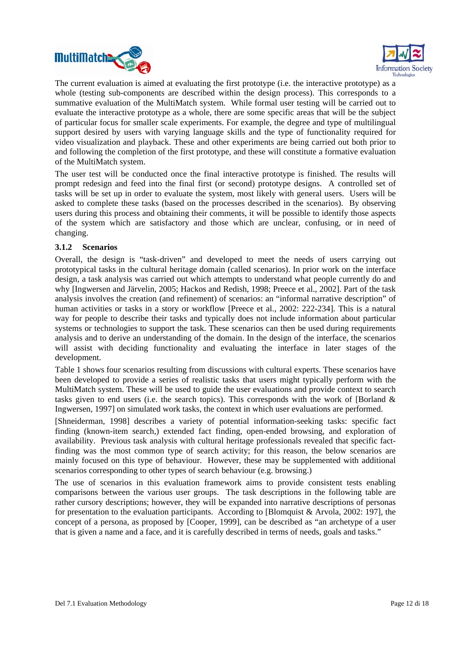<span id="page-11-0"></span>



The current evaluation is aimed at evaluating the first prototype (i.e. the interactive prototype) as a whole (testing sub-components are described within the design process). This corresponds to a summative evaluation of the MultiMatch system. While formal user testing will be carried out to evaluate the interactive prototype as a whole, there are some specific areas that will be the subject of particular focus for smaller scale experiments. For example, the degree and type of multilingual support desired by users with varying language skills and the type of functionality required for video visualization and playback. These and other experiments are being carried out both prior to and following the completion of the first prototype, and these will constitute a formative evaluation of the MultiMatch system.

The user test will be conducted once the final interactive prototype is finished. The results will prompt redesign and feed into the final first (or second) prototype designs. A controlled set of tasks will be set up in order to evaluate the system, most likely with general users. Users will be asked to complete these tasks (based on the processes described in the scenarios). By observing users during this process and obtaining their comments, it will be possible to identify those aspects of the system which are satisfactory and those which are unclear, confusing, or in need of changing.

#### **3.1.2 Scenarios**

Overall, the design is "task-driven" and developed to meet the needs of users carrying out prototypical tasks in the cultural heritage domain (called scenarios). In prior work on the interface design, a task analysis was carried out which attempts to understand what people currently do and why [Ingwersen and Järvelin, 2005; Hackos and Redish, 1998; Preece et al., 2002]. Part of the task analysis involves the creation (and refinement) of scenarios: an "informal narrative description" of human activities or tasks in a story or workflow [Preece et al., 2002: 222-234]. This is a natural way for people to describe their tasks and typically does not include information about particular systems or technologies to support the task. These scenarios can then be used during requirements analysis and to derive an understanding of the domain. In the design of the interface, the scenarios will assist with deciding functionality and evaluating the interface in later stages of the development.

Table 1 shows four scenarios resulting from discussions with cultural experts. These scenarios have been developed to provide a series of realistic tasks that users might typically perform with the MultiMatch system. These will be used to guide the user evaluations and provide context to search tasks given to end users (i.e. the search topics). This corresponds with the work of [Borland  $\&$ Ingwersen, 1997] on simulated work tasks, the context in which user evaluations are performed.

[Shneiderman, 1998] describes a variety of potential information-seeking tasks: specific fact finding (known-item search,) extended fact finding, open-ended browsing, and exploration of availability. Previous task analysis with cultural heritage professionals revealed that specific factfinding was the most common type of search activity; for this reason, the below scenarios are mainly focused on this type of behaviour. However, these may be supplemented with additional scenarios corresponding to other types of search behaviour (e.g. browsing.)

The use of scenarios in this evaluation framework aims to provide consistent tests enabling comparisons between the various user groups. The task descriptions in the following table are rather cursory descriptions; however, they will be expanded into narrative descriptions of personas for presentation to the evaluation participants. According to [Blomquist & Arvola, 2002: 197], the concept of a persona, as proposed by [Cooper, 1999], can be described as "an archetype of a user that is given a name and a face, and it is carefully described in terms of needs, goals and tasks."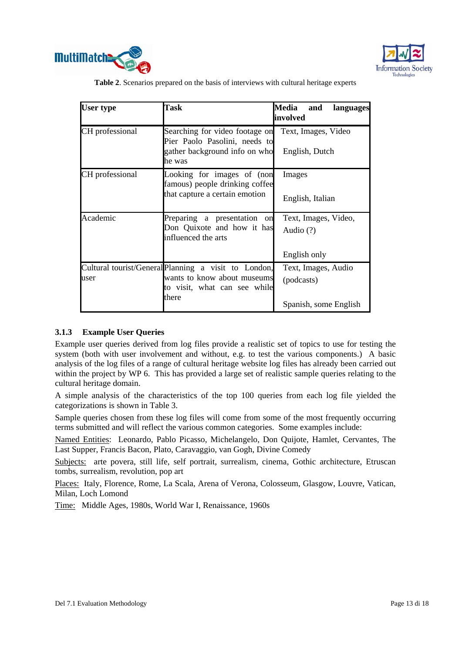<span id="page-12-0"></span>



**Table 2**. Scenarios prepared on the basis of interviews with cultural heritage experts

| User type       | Task                                                                                                                         | Media<br>and<br>languages<br>involved                      |  |
|-----------------|------------------------------------------------------------------------------------------------------------------------------|------------------------------------------------------------|--|
| CH professional | Searching for video footage on<br>Pier Paolo Pasolini, needs to<br>gather background info on who<br>he was                   | Text, Images, Video<br>English, Dutch                      |  |
| CH professional | Looking for images of (non<br>famous) people drinking coffee<br>that capture a certain emotion                               | Images<br>English, Italian                                 |  |
| Academic        | Preparing a presentation<br>on<br>Don Quixote and how it has<br>influenced the arts                                          | Text, Images, Video,<br>Audio $(?)$<br>English only        |  |
| user            | Cultural tourist/General Planning a visit to London,<br>wants to know about museums<br>to visit, what can see while<br>there | Text, Images, Audio<br>(podcasts)<br>Spanish, some English |  |

#### **3.1.3 Example User Queries**

Example user queries derived from log files provide a realistic set of topics to use for testing the system (both with user involvement and without, e.g. to test the various components.) A basic analysis of the log files of a range of cultural heritage website log files has already been carried out within the project by WP 6. This has provided a large set of realistic sample queries relating to the cultural heritage domain.

A simple analysis of the characteristics of the top 100 queries from each log file yielded the categorizations is shown in Table 3.

Sample queries chosen from these log files will come from some of the most frequently occurring terms submitted and will reflect the various common categories. Some examples include:

Named Entities: Leonardo, Pablo Picasso, Michelangelo, Don Quijote, Hamlet, Cervantes, The Last Supper, Francis Bacon, Plato, Caravaggio, van Gogh, Divine Comedy

Subjects: arte povera, still life, self portrait, surrealism, cinema, Gothic architecture, Etruscan tombs, surrealism, revolution, pop art

Places: Italy, Florence, Rome, La Scala, Arena of Verona, Colosseum, Glasgow, Louvre, Vatican, Milan, Loch Lomond

Time: Middle Ages, 1980s, World War I, Renaissance, 1960s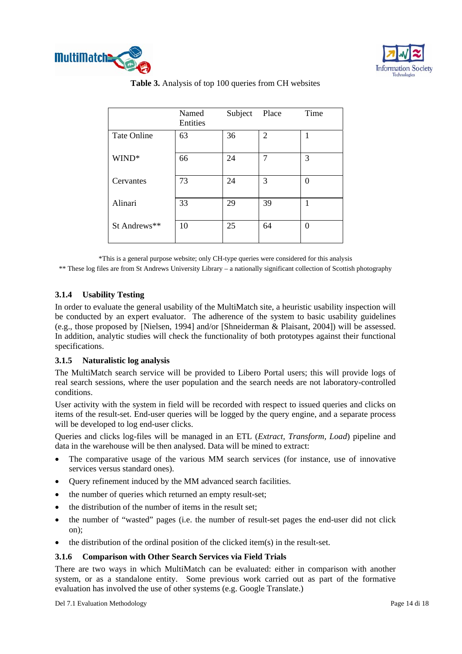<span id="page-13-0"></span>



**Table 3.** Analysis of top 100 queries from CH websites

|                    | Named<br>Entities | Subject | Place          | Time |
|--------------------|-------------------|---------|----------------|------|
| <b>Tate Online</b> | 63                | 36      | $\overline{2}$ |      |
| WIND*              | 66                | 24      | 7              | 3    |
| Cervantes          | 73                | 24      | 3              | 0    |
| Alinari            | 33                | 29      | 39             |      |
| St Andrews**       | 10                | 25      | 64             | 0    |

\*This is a general purpose website; only CH-type queries were considered for this analysis

\*\* These log files are from St Andrews University Library – a nationally significant collection of Scottish photography

### **3.1.4 Usability Testing**

In order to evaluate the general usability of the MultiMatch site, a heuristic usability inspection will be conducted by an expert evaluator. The adherence of the system to basic usability guidelines (e.g., those proposed by [Nielsen, 1994] and/or [Shneiderman & Plaisant, 2004]) will be assessed. In addition, analytic studies will check the functionality of both prototypes against their functional specifications.

#### **3.1.5 Naturalistic log analysis**

real search sessions, where the user population and the search needs are not laboratory-controlled The MultiMatch search service will be provided to Libero Portal users; this will provide logs of conditions.

User activity with the system in field will be recorded with respect to issued queries and clicks on items of the result-set. End-user queries will be logged by the query engine, and a separate process will be developed to log end-user clicks.

Queries and clicks log-files will be managed in an ETL (*Extract, Transform, Load*) pipeline and data in the warehouse will be then analysed. Data will be mined to extract:

- The comparative usage of the various MM search services (for instance, use of innovative services versus standard ones).
- Query refinement induced by the MM advanced search facilities.
- the number of queries which returned an empty result-set;
- the distribution of the number of items in the result set;
- the number of "wasted" pages (i.e. the number of result-set pages the end-user did not click on);
- the distribution of the ordinal position of the clicked item $(s)$  in the result-set.

#### **3.1.6 Comparison with Other Search Services via Field Trials**

There are two ways in which MultiMatch can be evaluated: either in comparison with another system, or as a standalone entity. Some previous work carried out as part of the formative evaluation has involved the use of other systems (e.g. Google Translate.)

Del 7.1 Evaluation Methodology Page 14 di 18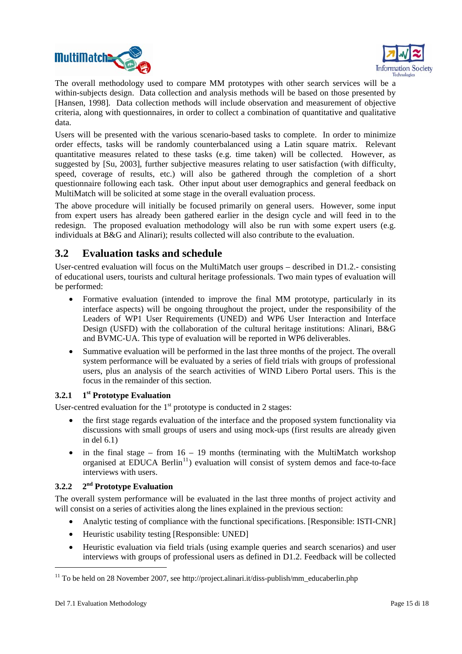<span id="page-14-0"></span>



The overall methodology used to compare MM prototypes with other search services will be a within-subjects design. Data collection and analysis methods will be based on those presented by Hansen, 1998]. Data collection methods will include observation and measurement of objective [ criteria, along with questionnaires, in order to collect a combination of quantitative and qualitative data.

Users will be presented with the various scenario-based tasks to complete. In order to minimize order effects, tasks will be randomly counterbalanced using a Latin square matrix. Relevant quantitative measures related to these tasks (e.g. time taken) will be collected. However, as suggested by [Su, 2003], further subjective measures relating to user satisfaction (with difficulty, speed, coverage of results, etc.) will also be gathered through the completion of a short questionnaire following each task. Other input about user demographics and general feedback on MultiMatch will be solicited at some stage in the overall evaluation process.

The above procedure will initially be focused primarily on general users. However, some input from expert users has already been gathered earlier in the design cycle and will feed in to the redesign. The proposed evaluation methodology will also be run with some expert users (e.g. individuals at B&G and Alinari); results collected will also contribute to the evaluation.

### **.2 Evaluation task 3 s and schedule**

U ser-centred evaluation will focus on the MultiMatch user groups – described in D1.2.- consisting of educational users, tourists and cultural heritage professionals. Two main types of evaluation will be performed:

- Formative evaluation (intended to improve the final MM prototype, particularly in its interface aspects) will be ongoing throughout the project, under the responsibility of the Leaders of WP1 User Requirements (UNED) and WP6 User Interaction and Interface Design (USFD) with the collaboration of the cultural heritage institutions: Alinari, B&G and BVMC-UA. This type of evaluation will be reported in WP6 deliverables.
- Summative evaluation will be performed in the last three months of the project. The overall system performance will be evaluated by a series of field trials with groups of professional users, plus an analysis of the search activities of WIND Libero Portal users. This is the focus in the remainder of this section.

### **3.2.1** 1<sup>st</sup> Prototype Evaluation

User-centred evaluation for the  $1<sup>st</sup>$  prototype is conducted in 2 stages:

- the first stage regards evaluation of the interface and the proposed system functionality via discussions with small groups of users and using mock-ups (first results are already given in del 6.1)
- in the final stage from  $16 19$  months (terminating with the MultiMatch workshop organised at EDUCA Berlin<sup>11</sup>) evaluation will consist of system demos and face-to-face interviews with users.

### **3.2.2 2nd Prototype Evaluation**

The overall system performance will be evaluated in the last three months of project activity and will consist on a series of activities along the lines explained in the previous section:

- Analytic testing of compliance with the functional specifications. [Responsible: ISTI-CNR]
- Heuristic usability testing [Responsible: UNED]
- Heuristic evaluation via field trials (using example queries and search scenarios) and user interviews with groups of professional users as defined in D1.2. Feedback will be collected

1

<sup>&</sup>lt;sup>11</sup> To be held on 28 November 2007, see http://project.alinari.it/diss-publish/mm\_educaberlin.php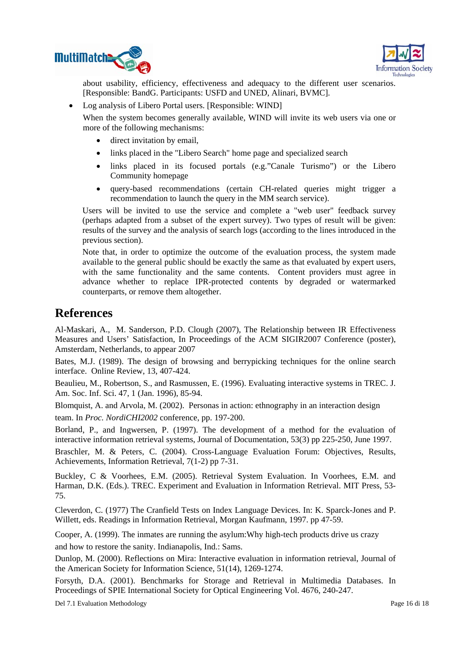<span id="page-15-0"></span>



about usability, efficiency, effectiveness and adequacy to the different user scenarios. [Responsible: BandG. Participants: USFD and UNED, Alinari, BVMC].

• Log analysis of Libero Portal users. [Responsible: WIND]

When the system becomes generally available, WIND will invite its web users via one or more of the following mechanisms:

- direct invitation by email,
- links placed in the "Libero Search" home page and specialized search
- links placed in its focused portals (e.g."Canale Turismo") or the Libero Community homepage
- query-based recommendations (certain CH-related queries might trigger a recommendation to launch the query in the MM search service).

Users will be invited to use the service and complete a "web user" feedback survey (perhaps adapted from a subset of the expert survey). Two types of result will be given: results of the survey and the analysis of search logs (according to the lines introduced in the previous section).

Note that, in order to optimize the outcome of the evaluation process, the system made available to the general public should be exactly the same as that evaluated by expert users, with the same functionality and the same contents. Content providers must agree in advance whether to replace IPR-protected contents by degraded or watermarked counterparts, or remove them altogether.

## **Refer ences**

Al-Mas kari, A., M. Sanderson, P.D. Clough (2007), The Relationship between IR Effectiveness Measures and Users' Satisfaction, In Proceedings of the ACM SIGIR2007 Conference (poster), Am sterdam, Netherlands, to appear 2007

Bates, M.J. (1989). The design of browsing and berrypicking techniques for the online search interfac e. Online Review, 13, 407-424.

Beaulieu, M., Robertson, S., and Rasmussen, E. (1996). Evaluating interactive systems in TREC. J. Am. Soc. Inf. Sci. 47, 1 (Jan. 1996), 85-94.

Blomquist, A. and Arvola, M. (2002). Personas in action: ethnography in an interaction design team . In *Proc. NordiCHI2002* conference, pp. 197-200.

Borland , P., and Ingwersen, P. (1997). The development of a method for the evaluation of interactive information retrieval systems, Journal of Documentation, 53(3) pp 225-250, June 1997.

Braschler, M. & Peters, C. (2004). Cross-Language Evaluation Forum: Objectives, Results, Achieve ments, Information Retrieval, 7(1-2) pp 7-31.

Buckley, C & Voorhees, E.M. (2005). Retrieval System Evaluation. In Voorhees, E.M. and Harman, D.K. (Eds.). TREC. Experiment and Evaluation in Information Retrieval. MIT Press, 53-75.

Cleverdon, C. (1977) The Cranfield Tests on Index Language Devices. In: K. Sparck-Jones and P. Willett, eds. Readings in Information Retrieval, Morgan Kaufmann, 1997. pp 47-59.

Cooper, A. (1999). The inmates are running the asylum:Why high-tech products drive us crazy and how to restore the sanity. Indianapolis, Ind.: Sams.

Dunlop , M. (2000). Reflections on Mira: Interactive evaluation in information retrieval, Journal of the American Society for Information Science, 51(14), 1269-1274.

Forsyth, D.A. (2001). Benchmarks for Storage and Retrieval in Multimedia Databases. In Proceedings of SPIE International Society for Optical Engineering Vol. 4676, 240-247.

Del 7.1 Evaluation Methodology Page 16 di 18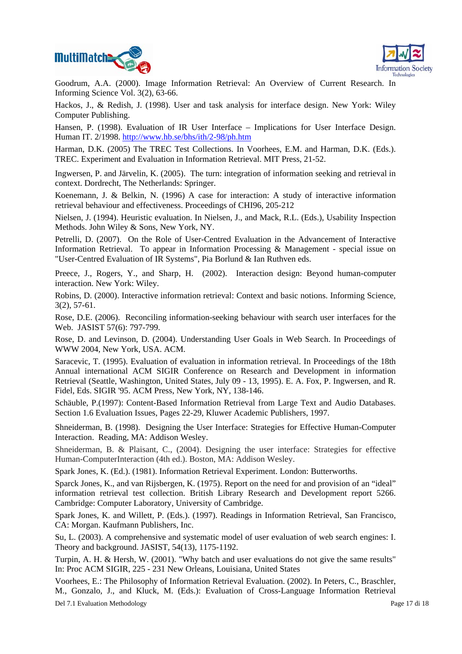



Goodru m, A.A. (2000). Image Information Retrieval: An Overview of Current Research. In Informi ng Science Vol. 3(2), 63-66.

Hackos, J., & Redish, J. (1998). User and task analysis for interface design. New York: Wiley Compu ter Publishing.

Hansen, P. (1998). Evaluation of IR User Interface – Implications for User Interface Design. Human IT. 2/1998. http://www.hb.se/bhs/ith/2-98/ph.htm

Harman, D.K. (2005) The TREC Test Collections. In Voorhees, E.M. and Harman, D.K. (Eds.). TREC. Expe riment and Evaluation in Information Retrieval. MIT Press, 21-52.

Ingwersen, P. and Järvelin, K. (2005). The turn: integration of information seeking and retrieval in context. Dordrecht, The Netherlands: Springer.

Koenemann, J. & Belkin, N. (1996) A case for interaction: A study of interactive information retrieva l behaviour and effectiveness. Proceedings of CHI96, 205-212

Nielsen , J. (1994). Heuristic evaluation. In Nielsen, J., and Mack, R.L. (Eds.), Usability Inspection Method s. John Wiley & Sons, New York, NY.

Petrelli, D. (2007). On the Role of User-Centred Evaluation in the Advancement of Interactive Informa tion Retrieval. To appear in Information Processing & Management - special issue on "User-C entred Evaluation of IR Systems", Pia Borlund & Ian Ruthven eds.

Preece, J., Rogers, Y., and Sharp, H. (2002). Interaction design: Beyond human-computer interact ion. New York: Wiley.

Robins, D. (2000). Interactive information retrieval: Context and basic notions. Informing Science, 3(2), 57-61.

Rose, D.E. (2006). Reconciling information-seeking behaviour with search user interfaces for the Web. JASIST 57(6): 797-799.

Rose, D. and Levinson, D. (2004). Understanding User Goals in Web Search. In Proceedings of WWW 2004, New York, USA. ACM.

Annual international ACM SIGIR Conference on Research and Development in information Fidel, Eds. SIGIR '95. ACM Press, New York, NY, 138-146. Saracevic, T. (1995). Evaluation of evaluation in information retrieval. In Proceedings of the 18th Retrieval (Seattle, Washington, United States, July 09 - 13, 1995). E. A. Fox, P. Ingwersen, and R.

Schäuble, P.(1997): Content-Based Information Retrieval from Large Text and Audio Databases. Section 1.6 Evaluation Issues, Pages 22-29, Kluwer Academic Publishers, 1997.

Shneiderman, B. (1998). Designing the User Interface: Strategies for Effective Human-Computer Interaction. Reading, MA: Addison Wesley.

Shneiderman, B. & Plaisant, C., (2004). Designing the user interface: Strategies for effective Human-ComputerInteraction (4th ed.). Boston, MA: Addison Wesley.

Spark Jones, K. (Ed.). (1981). Information Retrieval Experiment. London: Butterworths.

Sparck Jones, K., and van Rijsbergen, K. (1975). Report on the need for and provision of an "ideal" information retrieval test collection. British Library Research and Development report 5266. Cambridge: Computer Laboratory, University of Cambridge.

Spark Jones, K. and Willett, P. (Eds.). (1997). Readings in Information Retrieval, San Francisco, CA: Morgan. Kaufmann Publishers, Inc.

Su, L. (2003). A comprehensive and systematic model of user evaluation of web search engines: I. Theory and background. JASIST*,* 54(13), 1175-1192.

In: Proc ACM SIGIR, 225 - 231 New Orleans, Louisiana, United States Turpin, A. H. & Hersh, W. (2001). "Why batch and user evaluations do not give the same results"

Del 7.1 Evaluation Methodology Page 17 di 18 M., Gonzalo, J., and Kluck, M. (Eds.): Evaluation of Cross-Language Information Retrieval Voorhees, E.: The Philosophy of Information Retrieval Evaluation. (2002). In Peters, C., Braschler,